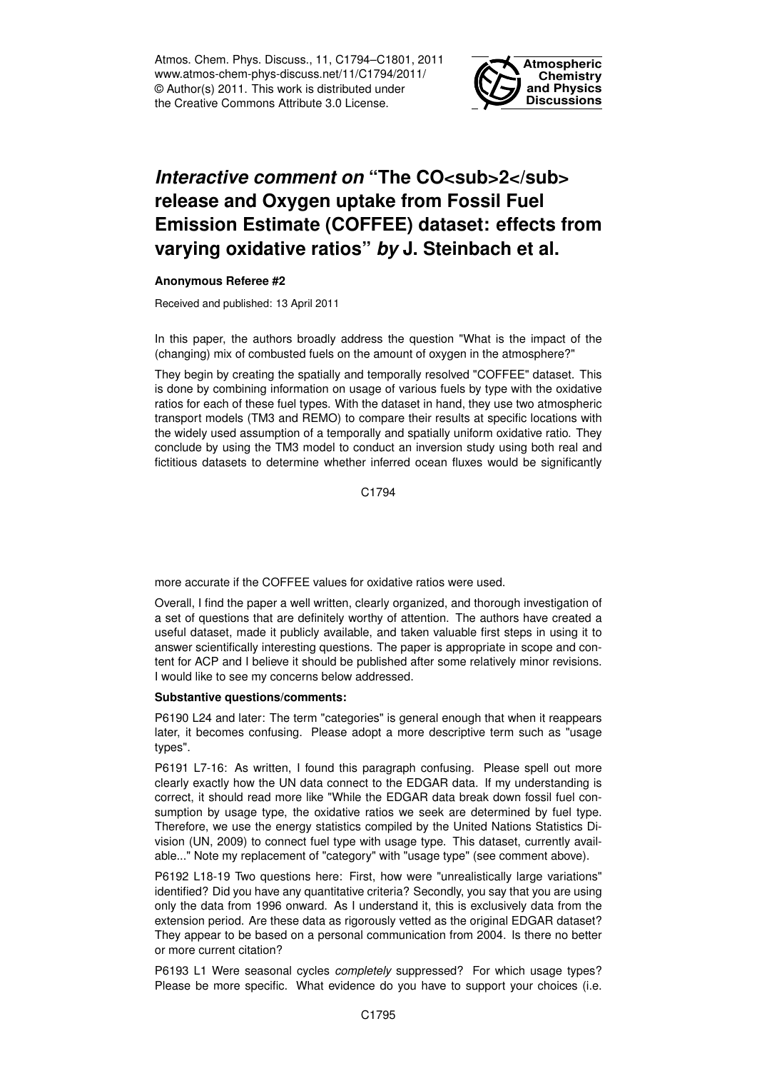Atmos. Chem. Phys. Discuss., 11, C1794–C1801, 2011 www.atmos-chem-phys-discuss.net/11/C1794/2011/ © Author(s) 2011. This work is distributed under the Creative Commons Attribute 3.0 License.



## *Interactive comment on* "The CO<sub>2</sub> **release and Oxygen uptake from Fossil Fuel Emission Estimate (COFFEE) dataset: effects from varying oxidative ratios"** *by* **J. Steinbach et al.**

## **Anonymous Referee #2**

Received and published: 13 April 2011

In this paper, the authors broadly address the question "What is the impact of the (changing) mix of combusted fuels on the amount of oxygen in the atmosphere?"

They begin by creating the spatially and temporally resolved "COFFEE" dataset. This is done by combining information on usage of various fuels by type with the oxidative ratios for each of these fuel types. With the dataset in hand, they use two atmospheric transport models (TM3 and REMO) to compare their results at specific locations with the widely used assumption of a temporally and spatially uniform oxidative ratio. They conclude by using the TM3 model to conduct an inversion study using both real and fictitious datasets to determine whether inferred ocean fluxes would be significantly

C1794

more accurate if the COFFEE values for oxidative ratios were used.

Overall, I find the paper a well written, clearly organized, and thorough investigation of a set of questions that are definitely worthy of attention. The authors have created a useful dataset, made it publicly available, and taken valuable first steps in using it to answer scientifically interesting questions. The paper is appropriate in scope and content for ACP and I believe it should be published after some relatively minor revisions. I would like to see my concerns below addressed.

## **Substantive questions/comments:**

P6190 L24 and later: The term "categories" is general enough that when it reappears later, it becomes confusing. Please adopt a more descriptive term such as "usage types".

P6191 L7-16: As written, I found this paragraph confusing. Please spell out more clearly exactly how the UN data connect to the EDGAR data. If my understanding is correct, it should read more like "While the EDGAR data break down fossil fuel consumption by usage type, the oxidative ratios we seek are determined by fuel type. Therefore, we use the energy statistics compiled by the United Nations Statistics Division (UN, 2009) to connect fuel type with usage type. This dataset, currently available..." Note my replacement of "category" with "usage type" (see comment above).

P6192 L18-19 Two questions here: First, how were "unrealistically large variations" identified? Did you have any quantitative criteria? Secondly, you say that you are using only the data from 1996 onward. As I understand it, this is exclusively data from the extension period. Are these data as rigorously vetted as the original EDGAR dataset? They appear to be based on a personal communication from 2004. Is there no better or more current citation?

P6193 L1 Were seasonal cycles *completely* suppressed? For which usage types? Please be more specific. What evidence do you have to support your choices (i.e.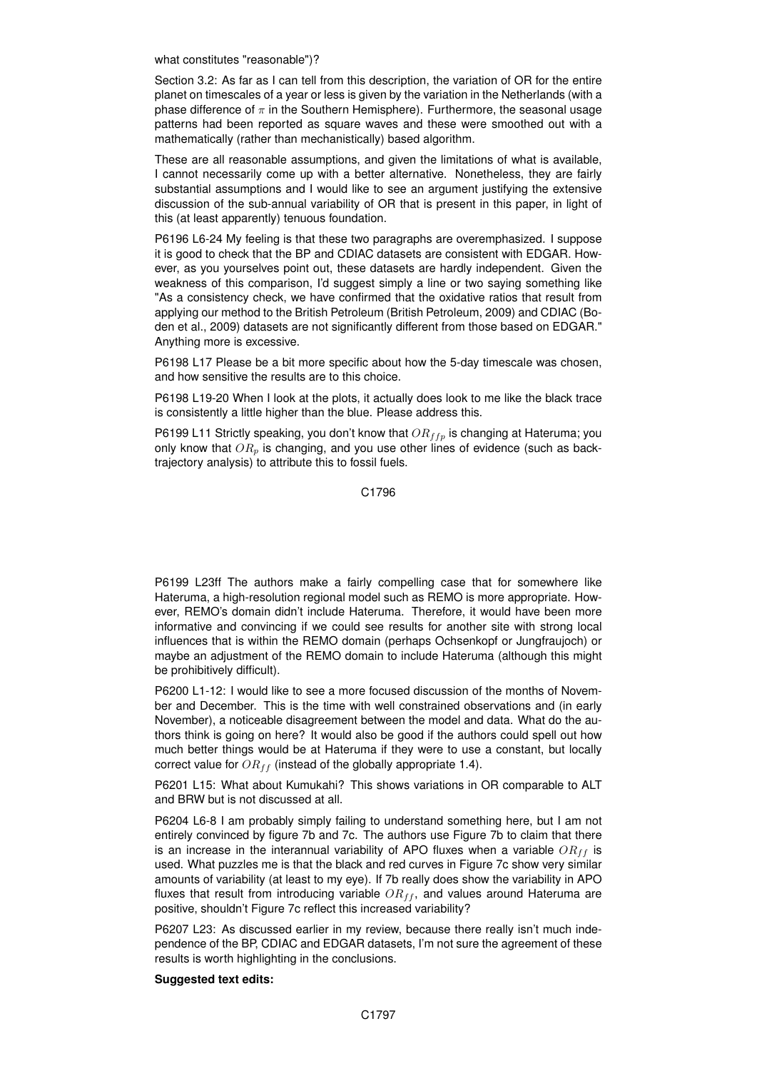what constitutes "reasonable")?

Section 3.2: As far as I can tell from this description, the variation of OR for the entire planet on timescales of a year or less is given by the variation in the Netherlands (with a phase difference of  $\pi$  in the Southern Hemisphere). Furthermore, the seasonal usage patterns had been reported as square waves and these were smoothed out with a mathematically (rather than mechanistically) based algorithm.

These are all reasonable assumptions, and given the limitations of what is available, I cannot necessarily come up with a better alternative. Nonetheless, they are fairly substantial assumptions and I would like to see an argument justifying the extensive discussion of the sub-annual variability of OR that is present in this paper, in light of this (at least apparently) tenuous foundation.

P6196 L6-24 My feeling is that these two paragraphs are overemphasized. I suppose it is good to check that the BP and CDIAC datasets are consistent with EDGAR. However, as you yourselves point out, these datasets are hardly independent. Given the weakness of this comparison, I'd suggest simply a line or two saying something like "As a consistency check, we have confirmed that the oxidative ratios that result from applying our method to the British Petroleum (British Petroleum, 2009) and CDIAC (Boden et al., 2009) datasets are not significantly different from those based on EDGAR." Anything more is excessive.

P6198 L17 Please be a bit more specific about how the 5-day timescale was chosen, and how sensitive the results are to this choice.

P6198 L19-20 When I look at the plots, it actually does look to me like the black trace is consistently a little higher than the blue. Please address this.

P6199 L11 Strictly speaking, you don't know that  $OR_{ffp}$  is changing at Hateruma; you only know that  $OR_p$  is changing, and you use other lines of evidence (such as backtrajectory analysis) to attribute this to fossil fuels.

C1796

P6199 L23ff The authors make a fairly compelling case that for somewhere like Hateruma, a high-resolution regional model such as REMO is more appropriate. However, REMO's domain didn't include Hateruma. Therefore, it would have been more informative and convincing if we could see results for another site with strong local influences that is within the REMO domain (perhaps Ochsenkopf or Jungfraujoch) or maybe an adjustment of the REMO domain to include Hateruma (although this might be prohibitively difficult).

P6200 L1-12: I would like to see a more focused discussion of the months of November and December. This is the time with well constrained observations and (in early November), a noticeable disagreement between the model and data. What do the authors think is going on here? It would also be good if the authors could spell out how much better things would be at Hateruma if they were to use a constant, but locally correct value for  $OR_{ff}$  (instead of the globally appropriate 1.4).

P6201 L15: What about Kumukahi? This shows variations in OR comparable to ALT and BRW but is not discussed at all.

P6204 L6-8 I am probably simply failing to understand something here, but I am not entirely convinced by figure 7b and 7c. The authors use Figure 7b to claim that there is an increase in the interannual variability of APO fluxes when a variable  $OR_{ff}$  is used. What puzzles me is that the black and red curves in Figure 7c show very similar amounts of variability (at least to my eye). If 7b really does show the variability in APO fluxes that result from introducing variable  $OR_{ff}$ , and values around Hateruma are positive, shouldn't Figure 7c reflect this increased variability?

P6207 L23: As discussed earlier in my review, because there really isn't much independence of the BP, CDIAC and EDGAR datasets, I'm not sure the agreement of these results is worth highlighting in the conclusions.

## **Suggested text edits:**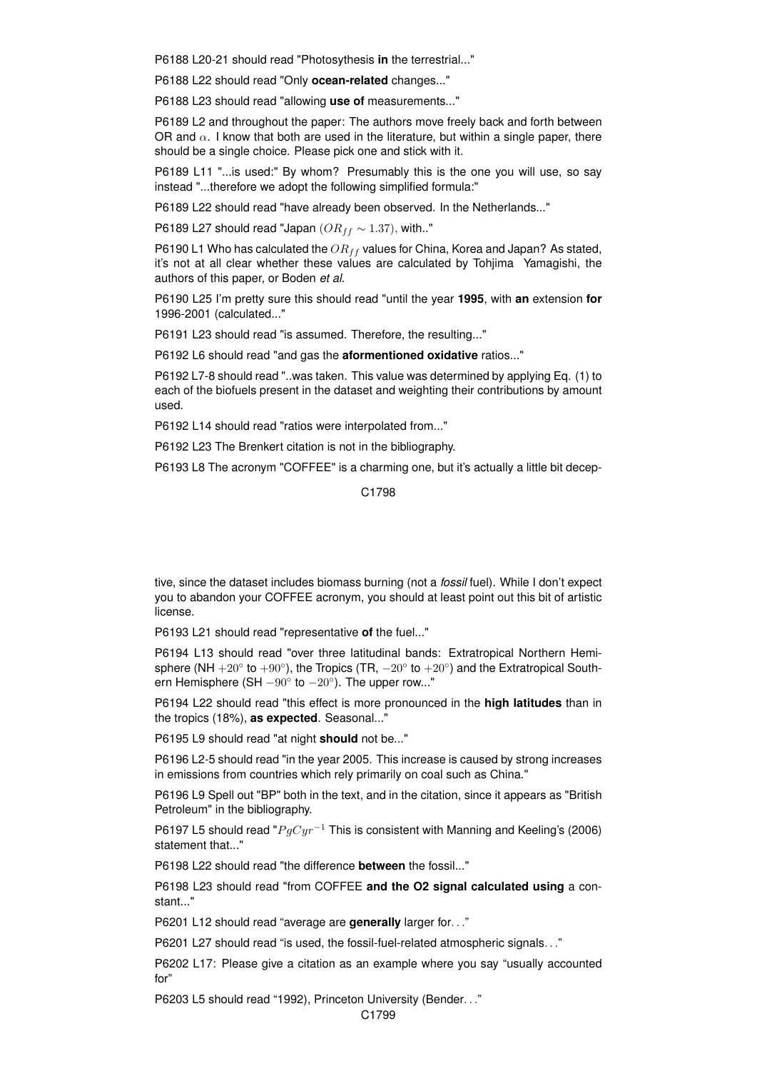P6188 L20-21 should read "Photosythesis **in** the terrestrial..."

P6188 L22 should read "Only **ocean-related** changes..."

P6188 L23 should read "allowing **use of** measurements..."

P6189 L2 and throughout the paper: The authors move freely back and forth between OR and  $\alpha$ . I know that both are used in the literature, but within a single paper, there should be a single choice. Please pick one and stick with it.

P6189 L11 "...is used:" By whom? Presumably this is the one you will use, so say instead "...therefore we adopt the following simplified formula:"

P6189 L22 should read "have already been observed. In the Netherlands..."

P6189 L27 should read "Japan ( $OR_{ff} \sim 1.37$ ), with.."

P6190 L1 Who has calculated the  $OR_{ff}$  values for China, Korea and Japan? As stated, it's not at all clear whether these values are calculated by Tohjima Yamagishi, the authors of this paper, or Boden *et al.*

P6190 L25 I'm pretty sure this should read "until the year **1995**, with **an** extension **for** 1996-2001 (calculated..."

P6191 L23 should read "is assumed. Therefore, the resulting..."

P6192 L6 should read "and gas the **aformentioned oxidative** ratios..."

P6192 L7-8 should read "..was taken. This value was determined by applying Eq. (1) to each of the biofuels present in the dataset and weighting their contributions by amount used.

P6192 L14 should read "ratios were interpolated from..."

P6192 L23 The Brenkert citation is not in the bibliography.

P6193 L8 The acronym "COFFEE" is a charming one, but it's actually a little bit decep-

C<sub>1798</sub>

tive, since the dataset includes biomass burning (not a *fossil* fuel). While I don't expect you to abandon your COFFEE acronym, you should at least point out this bit of artistic license.

P6193 L21 should read "representative **of** the fuel..."

P6194 L13 should read "over three latitudinal bands: Extratropical Northern Hemisphere (NH  $+20^\circ$  to  $+90^\circ$ ), the Tropics (TR,  $-20^\circ$  to  $+20^\circ$ ) and the Extratropical Southern Hemisphere (SH  $-90^{\circ}$  to  $-20^{\circ}$ ). The upper row..."

P6194 L22 should read "this effect is more pronounced in the **high latitudes** than in the tropics (18%), **as expected**. Seasonal..."

P6195 L9 should read "at night **should** not be..."

P6196 L2-5 should read "in the year 2005. This increase is caused by strong increases in emissions from countries which rely primarily on coal such as China."

P6196 L9 Spell out "BP" both in the text, and in the citation, since it appears as "British Petroleum" in the bibliography.

P6197 L5 should read " $P q Cyr^{-1}$  This is consistent with Manning and Keeling's (2006) statement that..."

P6198 L22 should read "the difference **between** the fossil..."

P6198 L23 should read "from COFFEE **and the O2 signal calculated using** a constant..."

P6201 L12 should read "average are **generally** larger for. . ."

P6201 L27 should read "is used, the fossil-fuel-related atmospheric signals. . ."

P6202 L17: Please give a citation as an example where you say "usually accounted for"

P6203 L5 should read "1992), Princeton University (Bender. . ."